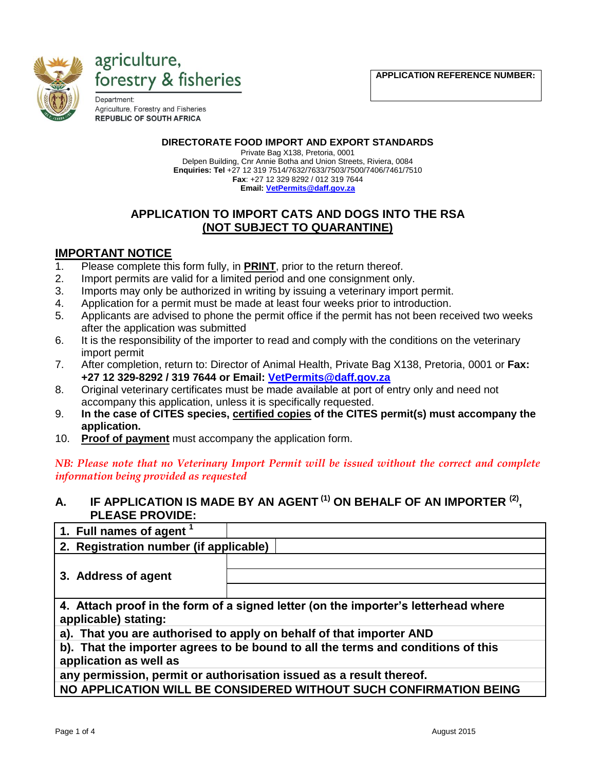**APPLICATION REFERENCE NUMBER:** 





Department: Agriculture, Forestry and Fisheries **REPUBLIC OF SOUTH AFRICA** 

#### **DIRECTORATE FOOD IMPORT AND EXPORT STANDARDS**

Private Bag X138, Pretoria, 0001 Delpen Building, Cnr Annie Botha and Union Streets, Riviera, 0084 **Enquiries: Tel** +27 12 319 7514/7632/7633/7503/7500/7406/7461/7510 **Fax**: +27 12 329 8292 / 012 319 7644

**Email[: VetPermits@daff.gov.za](mailto:VetPermits@daff.gov.za)**

### **APPLICATION TO IMPORT CATS AND DOGS INTO THE RSA (NOT SUBJECT TO QUARANTINE)**

#### **IMPORTANT NOTICE**

- 1. Please complete this form fully, in **PRINT**, prior to the return thereof.
- 2. Import permits are valid for a limited period and one consignment only.
- 3. Imports may only be authorized in writing by issuing a veterinary import permit.
- 4. Application for a permit must be made at least four weeks prior to introduction.
- 5. Applicants are advised to phone the permit office if the permit has not been received two weeks after the application was submitted
- 6. It is the responsibility of the importer to read and comply with the conditions on the veterinary import permit
- 7. After completion, return to: Director of Animal Health, Private Bag X138, Pretoria, 0001 or **Fax: +27 12 329-8292 / 319 7644 or Email: [VetPermits@daff.gov.za](mailto:VetPermits@daff.gov.za)**
- 8. Original veterinary certificates must be made available at port of entry only and need not accompany this application, unless it is specifically requested.
- 9. **In the case of CITES species, certified copies of the CITES permit(s) must accompany the application.**
- 10. **Proof of payment** must accompany the application form.

*NB: Please note that no Veterinary Import Permit will be issued without the correct and complete information being provided as requested*

### **A. IF APPLICATION IS MADE BY AN AGENT (1) ON BEHALF OF AN IMPORTER (2) , PLEASE PROVIDE:**

| 1. Full names of agent 1                                                                                   |  |  |
|------------------------------------------------------------------------------------------------------------|--|--|
| 2. Registration number (if applicable)                                                                     |  |  |
| 3. Address of agent                                                                                        |  |  |
| 4. Attach proof in the form of a signed letter (on the importer's letterhead where<br>applicable) stating: |  |  |
| a). That you are authorised to apply on behalf of that importer AND                                        |  |  |
| b). That the importer agrees to be bound to all the terms and conditions of this<br>application as well as |  |  |
| any permission, permit or authorisation issued as a result thereof.                                        |  |  |

**NO APPLICATION WILL BE CONSIDERED WITHOUT SUCH CONFIRMATION BEING**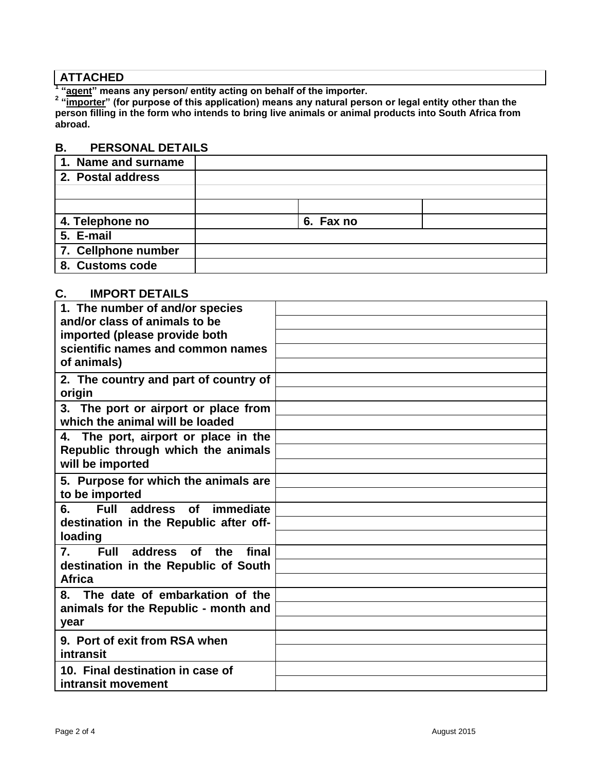# **ATTACHED**

<sup>1</sup> "<u>agent</u>" means any person/ entity acting on behalf of the importer.<br><sup>2</sup> "<u>importer</u>" (for purpose of this application) means any natural person or legal entity other than the **person filling in the form who intends to bring live animals or animal products into South Africa from abroad.**

#### **B. PERSONAL DETAILS**

| 1. Name and surname |           |  |
|---------------------|-----------|--|
| 2. Postal address   |           |  |
|                     |           |  |
|                     |           |  |
| 4. Telephone no     | 6. Fax no |  |
| 5. E-mail           |           |  |
| 7. Cellphone number |           |  |
| 8. Customs code     |           |  |

## **C. IMPORT DETAILS**

| 1. The number of and/or species                           |  |
|-----------------------------------------------------------|--|
| and/or class of animals to be                             |  |
| imported (please provide both                             |  |
| scientific names and common names                         |  |
| of animals)                                               |  |
| 2. The country and part of country of                     |  |
| origin                                                    |  |
| 3. The port or airport or place from                      |  |
| which the animal will be loaded                           |  |
| The port, airport or place in the<br>4.                   |  |
| Republic through which the animals                        |  |
| will be imported                                          |  |
| 5. Purpose for which the animals are                      |  |
| to be imported                                            |  |
| Full address<br>immediate<br>6.<br><b>of</b>              |  |
| destination in the Republic after off-                    |  |
| loading                                                   |  |
| <b>Full</b><br>final<br>7.<br>address<br><b>of</b><br>the |  |
| destination in the Republic of South                      |  |
| <b>Africa</b>                                             |  |
| The date of embarkation of the<br>8.                      |  |
| animals for the Republic - month and                      |  |
| year                                                      |  |
| 9. Port of exit from RSA when                             |  |
| intransit                                                 |  |
| 10. Final destination in case of                          |  |
| intransit movement                                        |  |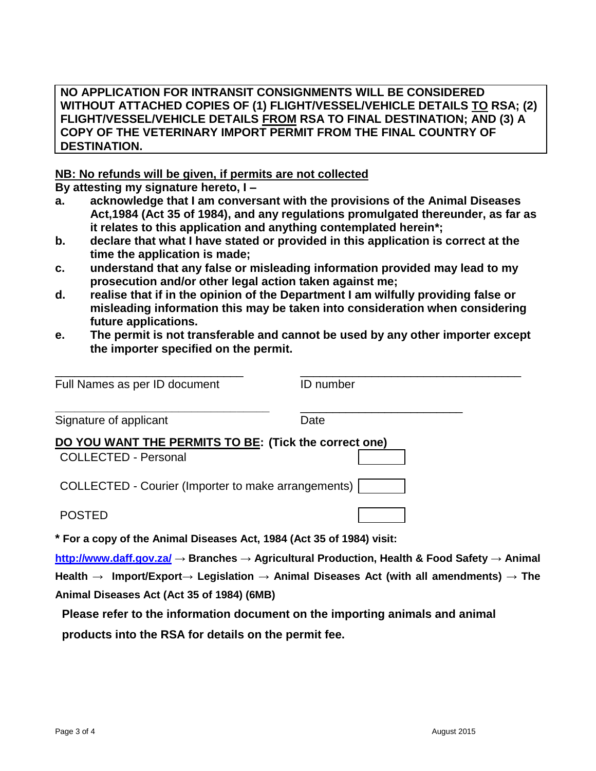#### **NO APPLICATION FOR INTRANSIT CONSIGNMENTS WILL BE CONSIDERED WITHOUT ATTACHED COPIES OF (1) FLIGHT/VESSEL/VEHICLE DETAILS TO RSA; (2) FLIGHT/VESSEL/VEHICLE DETAILS FROM RSA TO FINAL DESTINATION; AND (3) A COPY OF THE VETERINARY IMPORT PERMIT FROM THE FINAL COUNTRY OF DESTINATION.**

#### **NB: No refunds will be given, if permits are not collected**

**By attesting my signature hereto, I –**

- **a. acknowledge that I am conversant with the provisions of the Animal Diseases Act,1984 (Act 35 of 1984), and any regulations promulgated thereunder, as far as it relates to this application and anything contemplated herein\*;**
- **b. declare that what I have stated or provided in this application is correct at the time the application is made;**
- **c. understand that any false or misleading information provided may lead to my prosecution and/or other legal action taken against me;**
- **d. realise that if in the opinion of the Department I am wilfully providing false or misleading information this may be taken into consideration when considering future applications.**
- **e. The permit is not transferable and cannot be used by any other importer except the importer specified on the permit.**

| Full Names as per ID document                                                        | <b>ID</b> number |
|--------------------------------------------------------------------------------------|------------------|
| Signature of applicant                                                               | Date             |
| DO YOU WANT THE PERMITS TO BE: (Tick the correct one)<br><b>COLLECTED - Personal</b> |                  |
| COLLECTED - Courier (Importer to make arrangements)                                  |                  |
| <b>POSTED</b>                                                                        |                  |
| * For a copy of the Animal Diseases Act, 1984 (Act 35 of 1984) visit:                |                  |

**<http://www.daff.gov.za/> → Branches → Agricultural Production, Health & Food Safety → Animal Health → Import/Export→ Legislation → Animal Diseases Act (with all amendments) → The Animal Diseases Act (Act 35 of 1984) (6MB)**

**Please refer to the information document on the importing animals and animal** 

**products into the RSA for details on the permit fee.**